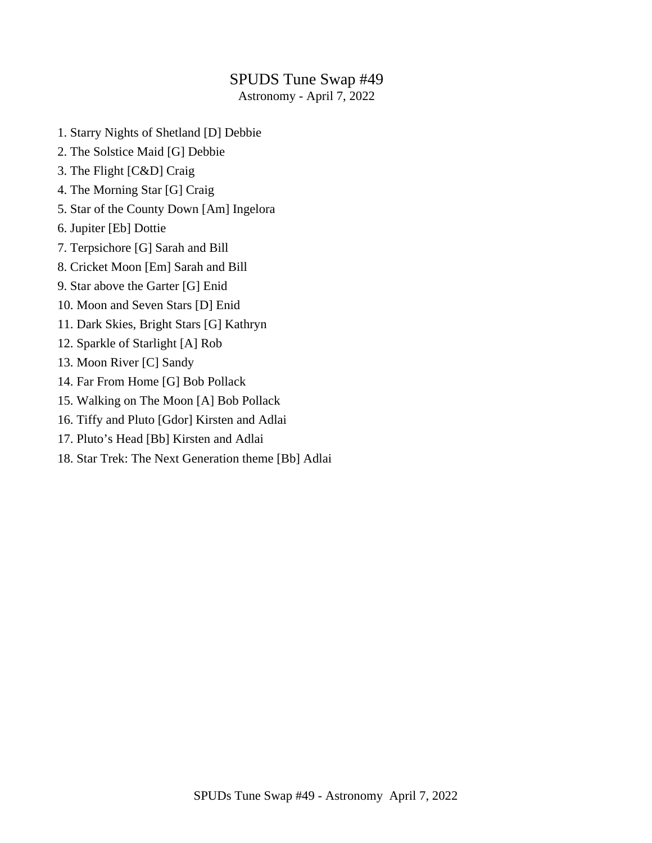### SPUDS Tune Swap #49

Astronomy - April 7, 2022

- 1. Starry Nights of Shetland [D] Debbie
- 2. The Solstice Maid [G] Debbie
- 3. The Flight [C&D] Craig
- 4. The Morning Star [G] Craig
- 5. Star of the County Down [Am] Ingelora
- 6. Jupiter [Eb] Dottie
- 7. Terpsichore [G] Sarah and Bill
- 8. Cricket Moon [Em] Sarah and Bill
- 9. Star above the Garter [G] Enid
- 10. Moon and Seven Stars [D] Enid
- 11. Dark Skies, Bright Stars [G] Kathryn
- 12. Sparkle of Starlight [A] Rob
- 13. Moon River [C] Sandy
- 14. Far From Home [G] Bob Pollack
- 15. Walking on The Moon [A] Bob Pollack
- 16. Tiffy and Pluto [Gdor] Kirsten and Adlai
- 17. Pluto's Head [Bb] Kirsten and Adlai
- 18. Star Trek: The Next Generation theme [Bb] Adlai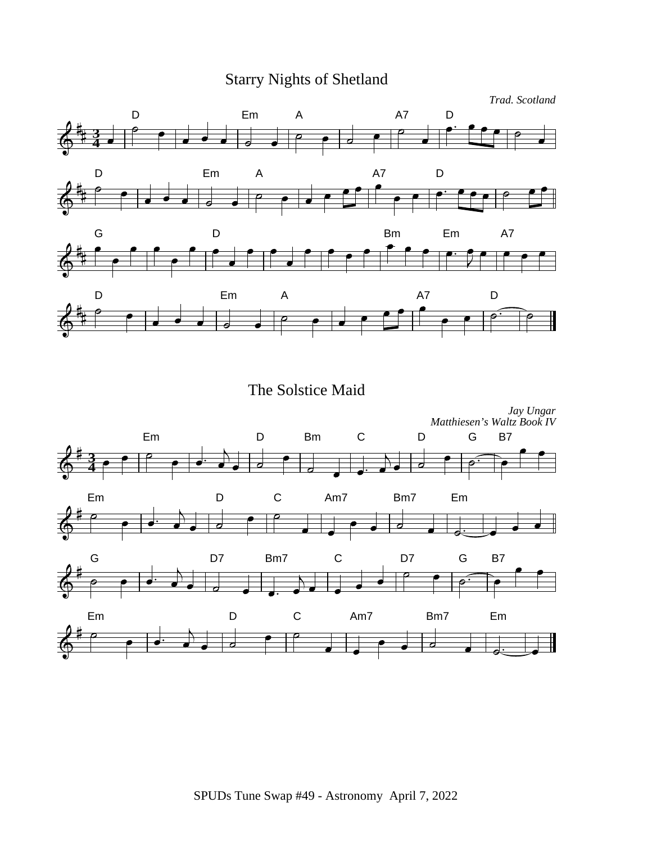# Starry Nights of Shetland

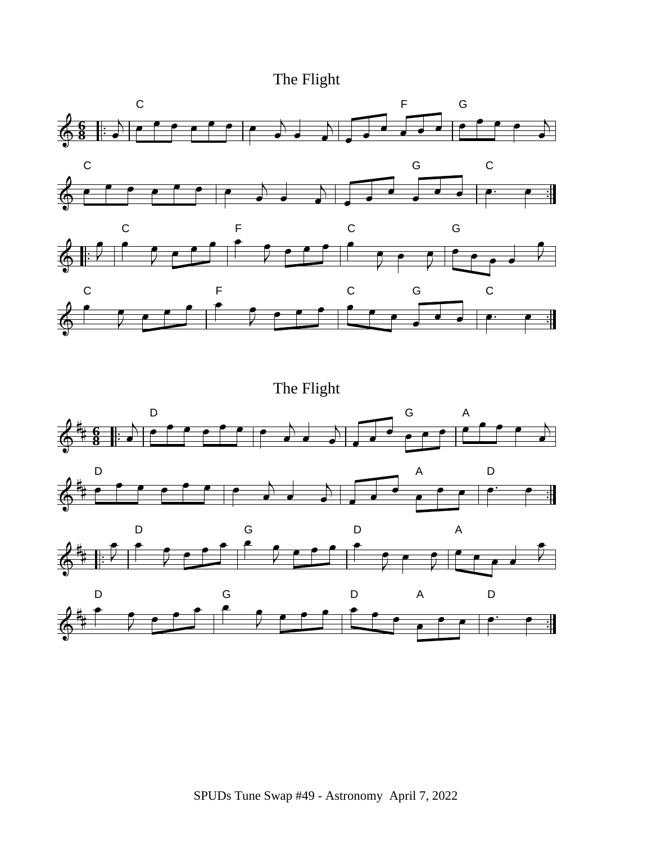# The Flight



The Flight

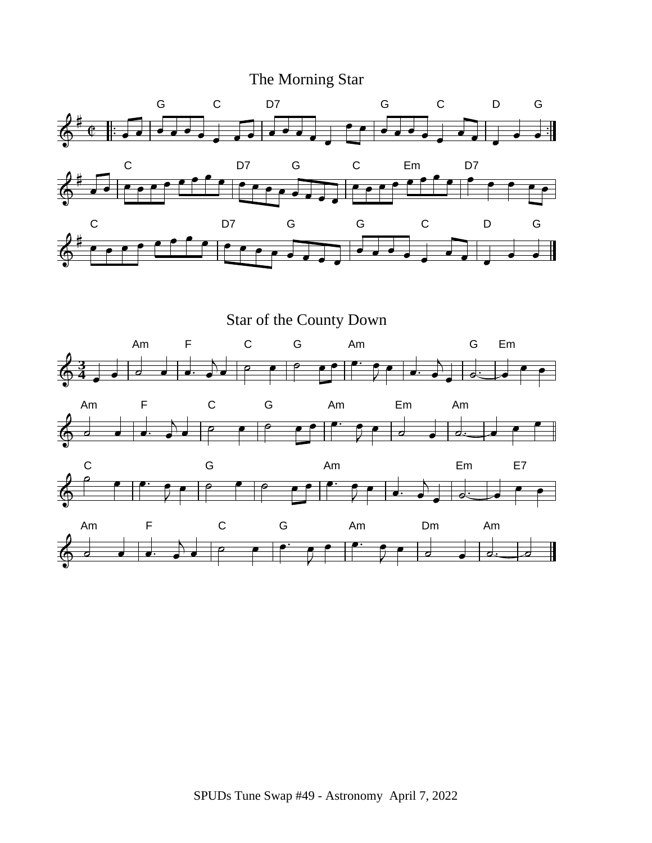# The Morning Star



Star of the County Down

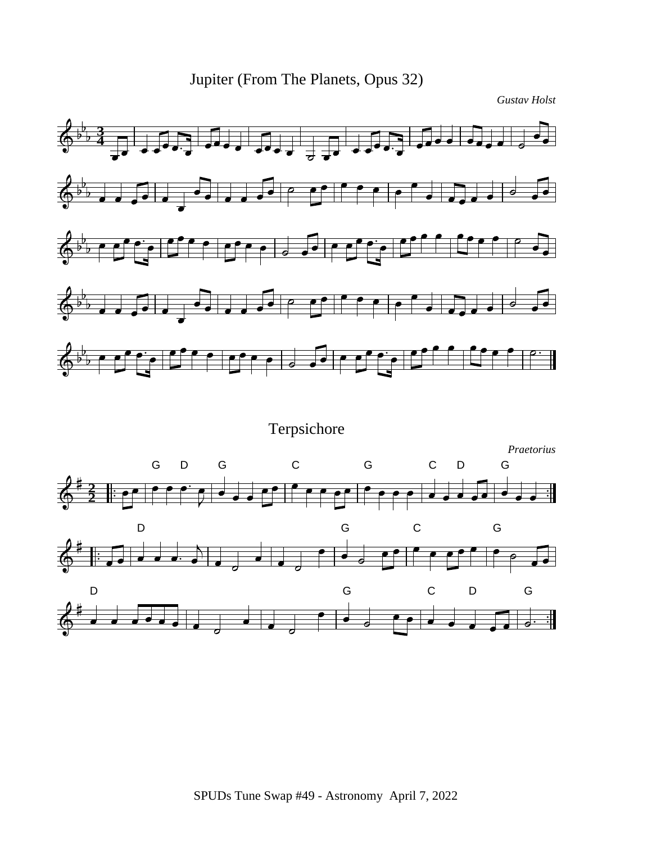

*Gustav Holst*

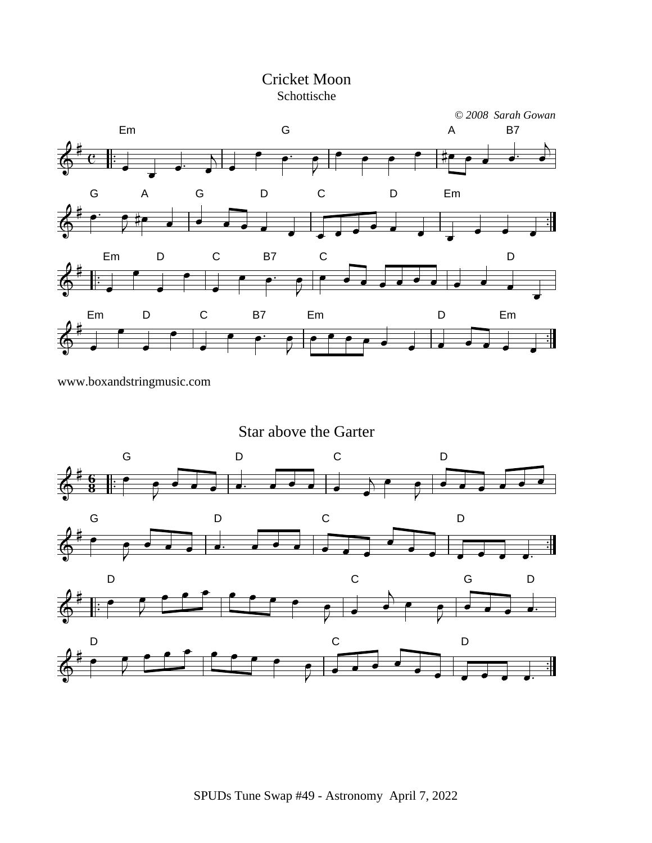

www.boxandstringmusic.com

Star above the Garter

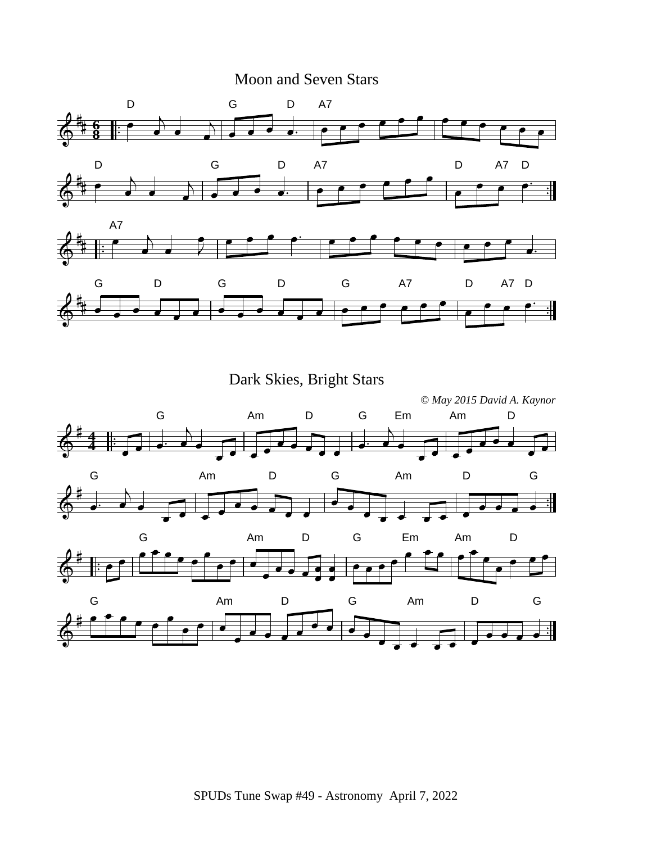### Moon and Seven Stars



Dark Skies, Bright Stars

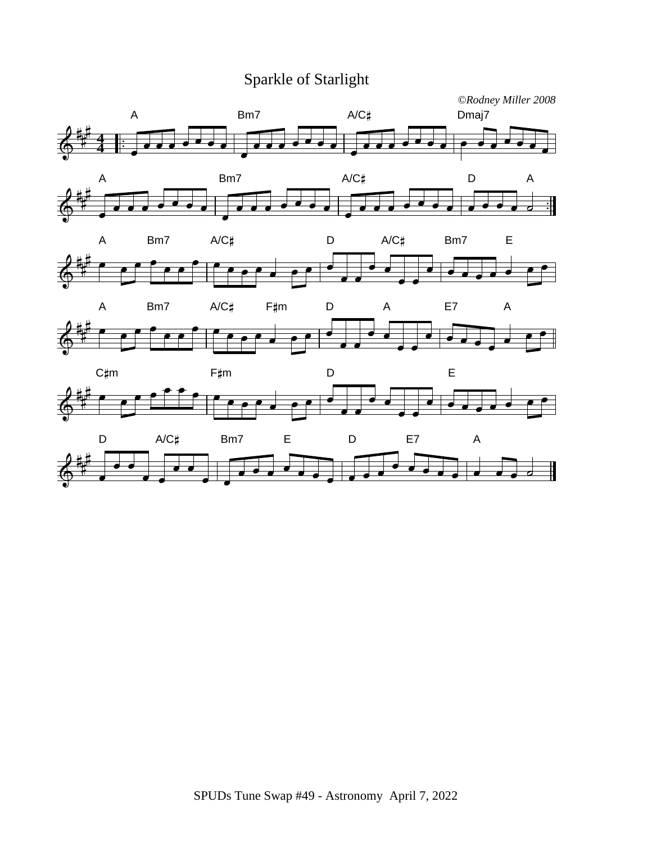# Sparkle of Starlight











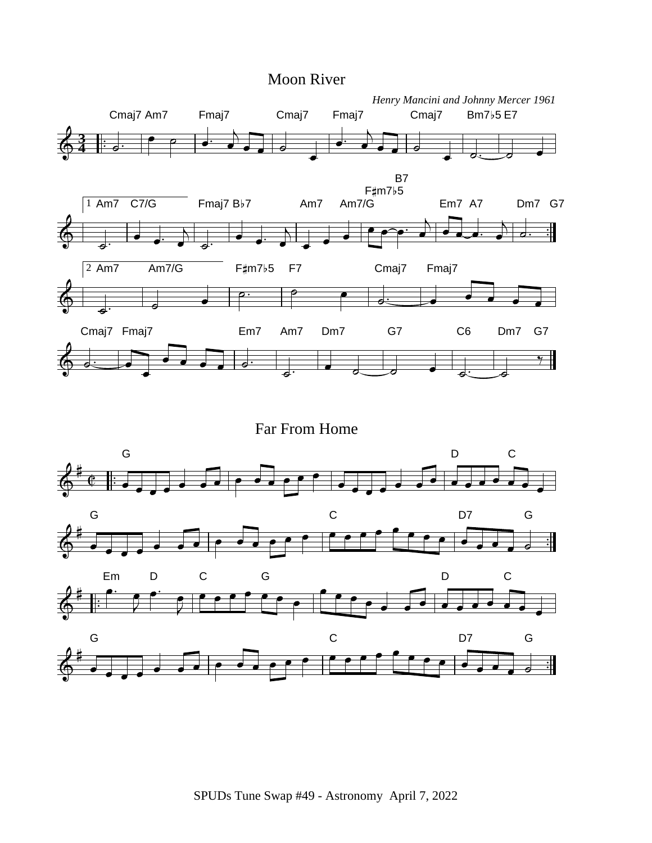

Far From Home

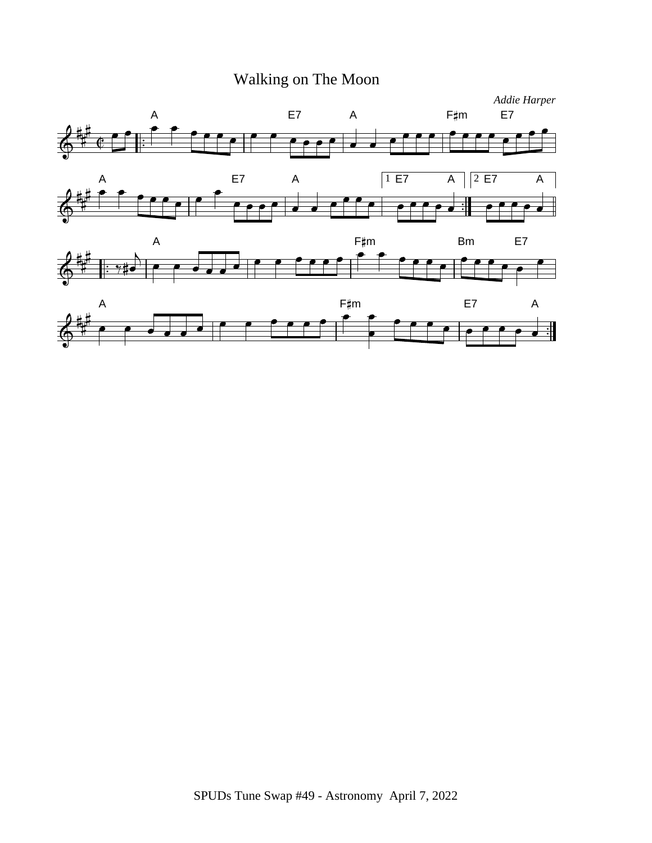# Walking on The Moon

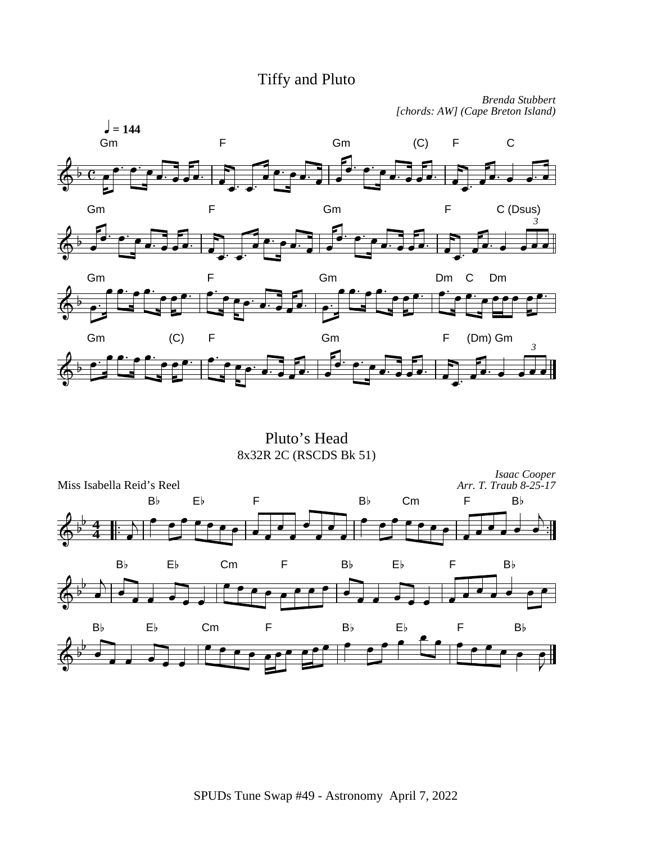# Tiffy and Pluto

*Brenda Stubbert [chords: AW] (Cape Breton Island)*



Pluto's Head 8x32R 2C (RSCDS Bk 51)